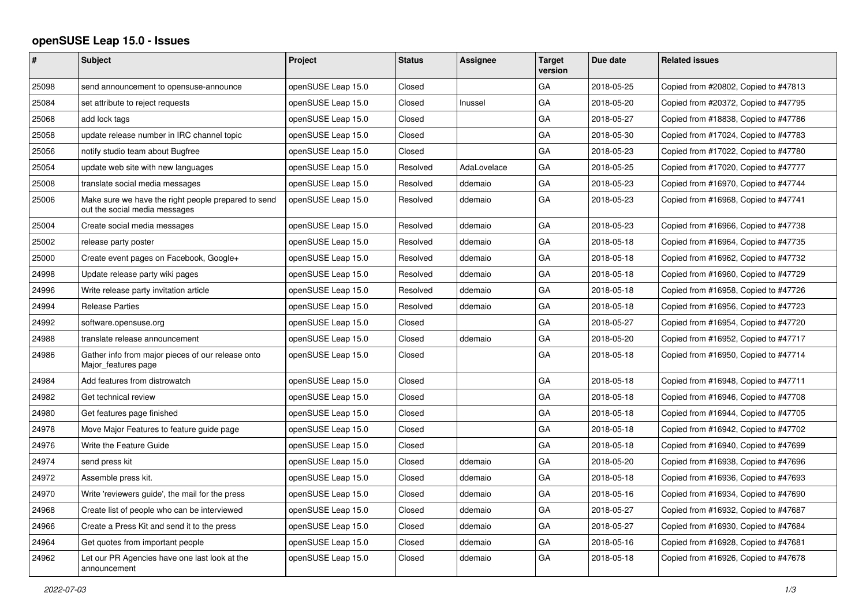## **openSUSE Leap 15.0 - Issues**

| #     | <b>Subject</b>                                                                       | <b>Project</b>     | <b>Status</b> | <b>Assignee</b> | <b>Target</b><br>version | Due date   | <b>Related issues</b>                |
|-------|--------------------------------------------------------------------------------------|--------------------|---------------|-----------------|--------------------------|------------|--------------------------------------|
| 25098 | send announcement to opensuse-announce                                               | openSUSE Leap 15.0 | Closed        |                 | GA                       | 2018-05-25 | Copied from #20802, Copied to #47813 |
| 25084 | set attribute to reject requests                                                     | openSUSE Leap 15.0 | Closed        | Inussel         | GA                       | 2018-05-20 | Copied from #20372, Copied to #47795 |
| 25068 | add lock tags                                                                        | openSUSE Leap 15.0 | Closed        |                 | GA                       | 2018-05-27 | Copied from #18838, Copied to #47786 |
| 25058 | update release number in IRC channel topic                                           | openSUSE Leap 15.0 | Closed        |                 | GA                       | 2018-05-30 | Copied from #17024, Copied to #47783 |
| 25056 | notify studio team about Bugfree                                                     | openSUSE Leap 15.0 | Closed        |                 | GA                       | 2018-05-23 | Copied from #17022, Copied to #47780 |
| 25054 | update web site with new languages                                                   | openSUSE Leap 15.0 | Resolved      | AdaLovelace     | GA                       | 2018-05-25 | Copied from #17020, Copied to #47777 |
| 25008 | translate social media messages                                                      | openSUSE Leap 15.0 | Resolved      | ddemaio         | GA                       | 2018-05-23 | Copied from #16970, Copied to #47744 |
| 25006 | Make sure we have the right people prepared to send<br>out the social media messages | openSUSE Leap 15.0 | Resolved      | ddemaio         | GA                       | 2018-05-23 | Copied from #16968, Copied to #47741 |
| 25004 | Create social media messages                                                         | openSUSE Leap 15.0 | Resolved      | ddemaio         | GA                       | 2018-05-23 | Copied from #16966, Copied to #47738 |
| 25002 | release party poster                                                                 | openSUSE Leap 15.0 | Resolved      | ddemaio         | GA                       | 2018-05-18 | Copied from #16964, Copied to #47735 |
| 25000 | Create event pages on Facebook, Google+                                              | openSUSE Leap 15.0 | Resolved      | ddemaio         | GA                       | 2018-05-18 | Copied from #16962, Copied to #47732 |
| 24998 | Update release party wiki pages                                                      | openSUSE Leap 15.0 | Resolved      | ddemaio         | GA                       | 2018-05-18 | Copied from #16960, Copied to #47729 |
| 24996 | Write release party invitation article                                               | openSUSE Leap 15.0 | Resolved      | ddemaio         | GA                       | 2018-05-18 | Copied from #16958, Copied to #47726 |
| 24994 | <b>Release Parties</b>                                                               | openSUSE Leap 15.0 | Resolved      | ddemaio         | GA                       | 2018-05-18 | Copied from #16956, Copied to #47723 |
| 24992 | software.opensuse.org                                                                | openSUSE Leap 15.0 | Closed        |                 | GA                       | 2018-05-27 | Copied from #16954, Copied to #47720 |
| 24988 | translate release announcement                                                       | openSUSE Leap 15.0 | Closed        | ddemaio         | GA                       | 2018-05-20 | Copied from #16952, Copied to #47717 |
| 24986 | Gather info from major pieces of our release onto<br>Major features page             | openSUSE Leap 15.0 | Closed        |                 | GA                       | 2018-05-18 | Copied from #16950, Copied to #47714 |
| 24984 | Add features from distrowatch                                                        | openSUSE Leap 15.0 | Closed        |                 | GA                       | 2018-05-18 | Copied from #16948, Copied to #47711 |
| 24982 | Get technical review                                                                 | openSUSE Leap 15.0 | Closed        |                 | GA                       | 2018-05-18 | Copied from #16946, Copied to #47708 |
| 24980 | Get features page finished                                                           | openSUSE Leap 15.0 | Closed        |                 | GA                       | 2018-05-18 | Copied from #16944, Copied to #47705 |
| 24978 | Move Major Features to feature guide page                                            | openSUSE Leap 15.0 | Closed        |                 | GA                       | 2018-05-18 | Copied from #16942, Copied to #47702 |
| 24976 | Write the Feature Guide                                                              | openSUSE Leap 15.0 | Closed        |                 | GA                       | 2018-05-18 | Copied from #16940, Copied to #47699 |
| 24974 | send press kit                                                                       | openSUSE Leap 15.0 | Closed        | ddemaio         | GA                       | 2018-05-20 | Copied from #16938, Copied to #47696 |
| 24972 | Assemble press kit.                                                                  | openSUSE Leap 15.0 | Closed        | ddemaio         | GA                       | 2018-05-18 | Copied from #16936, Copied to #47693 |
| 24970 | Write 'reviewers guide', the mail for the press                                      | openSUSE Leap 15.0 | Closed        | ddemaio         | GA                       | 2018-05-16 | Copied from #16934, Copied to #47690 |
| 24968 | Create list of people who can be interviewed                                         | openSUSE Leap 15.0 | Closed        | ddemaio         | GA                       | 2018-05-27 | Copied from #16932, Copied to #47687 |
| 24966 | Create a Press Kit and send it to the press                                          | openSUSE Leap 15.0 | Closed        | ddemaio         | GA                       | 2018-05-27 | Copied from #16930, Copied to #47684 |
| 24964 | Get quotes from important people                                                     | openSUSE Leap 15.0 | Closed        | ddemaio         | GA                       | 2018-05-16 | Copied from #16928, Copied to #47681 |
| 24962 | Let our PR Agencies have one last look at the<br>announcement                        | openSUSE Leap 15.0 | Closed        | ddemaio         | GA                       | 2018-05-18 | Copied from #16926, Copied to #47678 |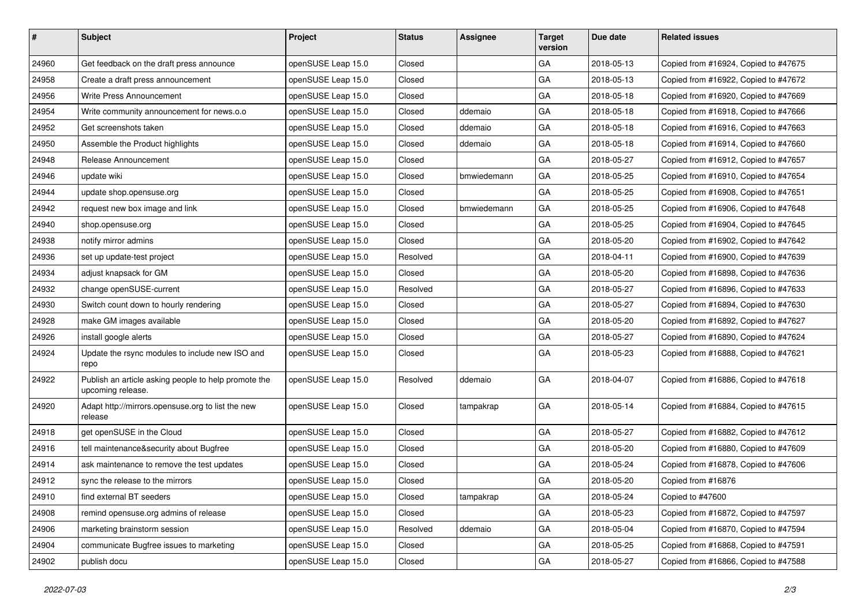| #     | Subject                                                                   | Project            | <b>Status</b> | <b>Assignee</b> | <b>Target</b><br>version | Due date   | <b>Related issues</b>                |
|-------|---------------------------------------------------------------------------|--------------------|---------------|-----------------|--------------------------|------------|--------------------------------------|
| 24960 | Get feedback on the draft press announce                                  | openSUSE Leap 15.0 | Closed        |                 | GA                       | 2018-05-13 | Copied from #16924, Copied to #47675 |
| 24958 | Create a draft press announcement                                         | openSUSE Leap 15.0 | Closed        |                 | GA                       | 2018-05-13 | Copied from #16922, Copied to #47672 |
| 24956 | Write Press Announcement                                                  | openSUSE Leap 15.0 | Closed        |                 | GA                       | 2018-05-18 | Copied from #16920, Copied to #47669 |
| 24954 | Write community announcement for news.o.o                                 | openSUSE Leap 15.0 | Closed        | ddemaio         | GA                       | 2018-05-18 | Copied from #16918, Copied to #47666 |
| 24952 | Get screenshots taken                                                     | openSUSE Leap 15.0 | Closed        | ddemaio         | GA                       | 2018-05-18 | Copied from #16916, Copied to #47663 |
| 24950 | Assemble the Product highlights                                           | openSUSE Leap 15.0 | Closed        | ddemaio         | GA                       | 2018-05-18 | Copied from #16914, Copied to #47660 |
| 24948 | Release Announcement                                                      | openSUSE Leap 15.0 | Closed        |                 | GA                       | 2018-05-27 | Copied from #16912, Copied to #47657 |
| 24946 | update wiki                                                               | openSUSE Leap 15.0 | Closed        | bmwiedemann     | GA                       | 2018-05-25 | Copied from #16910, Copied to #47654 |
| 24944 | update shop.opensuse.org                                                  | openSUSE Leap 15.0 | Closed        |                 | GA                       | 2018-05-25 | Copied from #16908, Copied to #47651 |
| 24942 | request new box image and link                                            | openSUSE Leap 15.0 | Closed        | bmwiedemann     | GA                       | 2018-05-25 | Copied from #16906, Copied to #47648 |
| 24940 | shop.opensuse.org                                                         | openSUSE Leap 15.0 | Closed        |                 | GA                       | 2018-05-25 | Copied from #16904, Copied to #47645 |
| 24938 | notify mirror admins                                                      | openSUSE Leap 15.0 | Closed        |                 | GA                       | 2018-05-20 | Copied from #16902, Copied to #47642 |
| 24936 | set up update-test project                                                | openSUSE Leap 15.0 | Resolved      |                 | GA                       | 2018-04-11 | Copied from #16900, Copied to #47639 |
| 24934 | adjust knapsack for GM                                                    | openSUSE Leap 15.0 | Closed        |                 | GA                       | 2018-05-20 | Copied from #16898, Copied to #47636 |
| 24932 | change openSUSE-current                                                   | openSUSE Leap 15.0 | Resolved      |                 | GA                       | 2018-05-27 | Copied from #16896, Copied to #47633 |
| 24930 | Switch count down to hourly rendering                                     | openSUSE Leap 15.0 | Closed        |                 | GA                       | 2018-05-27 | Copied from #16894, Copied to #47630 |
| 24928 | make GM images available                                                  | openSUSE Leap 15.0 | Closed        |                 | GA                       | 2018-05-20 | Copied from #16892, Copied to #47627 |
| 24926 | install google alerts                                                     | openSUSE Leap 15.0 | Closed        |                 | GA                       | 2018-05-27 | Copied from #16890, Copied to #47624 |
| 24924 | Update the rsync modules to include new ISO and<br>repo                   | openSUSE Leap 15.0 | Closed        |                 | GA                       | 2018-05-23 | Copied from #16888, Copied to #47621 |
| 24922 | Publish an article asking people to help promote the<br>upcoming release. | openSUSE Leap 15.0 | Resolved      | ddemaio         | GA                       | 2018-04-07 | Copied from #16886, Copied to #47618 |
| 24920 | Adapt http://mirrors.opensuse.org to list the new<br>release              | openSUSE Leap 15.0 | Closed        | tampakrap       | GA                       | 2018-05-14 | Copied from #16884, Copied to #47615 |
| 24918 | get openSUSE in the Cloud                                                 | openSUSE Leap 15.0 | Closed        |                 | GA                       | 2018-05-27 | Copied from #16882, Copied to #47612 |
| 24916 | tell maintenance&security about Bugfree                                   | openSUSE Leap 15.0 | Closed        |                 | GA                       | 2018-05-20 | Copied from #16880, Copied to #47609 |
| 24914 | ask maintenance to remove the test updates                                | openSUSE Leap 15.0 | Closed        |                 | GA                       | 2018-05-24 | Copied from #16878, Copied to #47606 |
| 24912 | sync the release to the mirrors                                           | openSUSE Leap 15.0 | Closed        |                 | GA                       | 2018-05-20 | Copied from #16876                   |
| 24910 | find external BT seeders                                                  | openSUSE Leap 15.0 | Closed        | tampakrap       | GA                       | 2018-05-24 | Copied to #47600                     |
| 24908 | remind opensuse.org admins of release                                     | openSUSE Leap 15.0 | Closed        |                 | GA                       | 2018-05-23 | Copied from #16872, Copied to #47597 |
| 24906 | marketing brainstorm session                                              | openSUSE Leap 15.0 | Resolved      | ddemaio         | GA                       | 2018-05-04 | Copied from #16870, Copied to #47594 |
| 24904 | communicate Bugfree issues to marketing                                   | openSUSE Leap 15.0 | Closed        |                 | GA                       | 2018-05-25 | Copied from #16868, Copied to #47591 |
| 24902 | publish docu                                                              | openSUSE Leap 15.0 | Closed        |                 | GA                       | 2018-05-27 | Copied from #16866, Copied to #47588 |